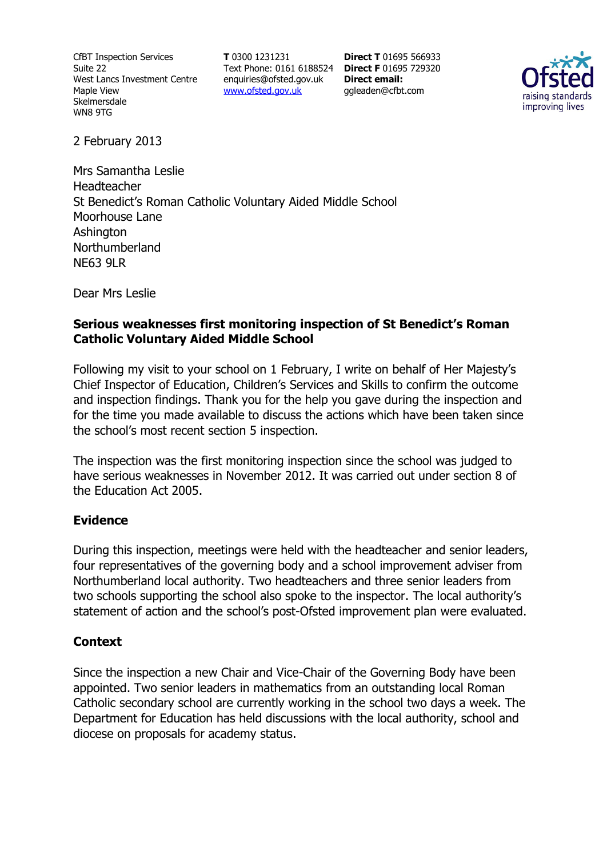CfBT Inspection Services Suite 22 West Lancs Investment Centre Maple View **Skelmersdale** WN8 9TG

**T** 0300 1231231 Text Phone: 0161 6188524 **Direct F** 01695 729320 enquiries@ofsted.gov.uk www.ofsted.gov.uk

**Direct T** 01695 566933 **Direct email:**  ggleaden@cfbt.com



2 February 2013

Mrs Samantha Leslie Headteacher St Benedict's Roman Catholic Voluntary Aided Middle School Moorhouse Lane Ashington Northumberland NE63 9LR

Dear Mrs Leslie

## **Serious weaknesses first monitoring inspection of St Benedict's Roman Catholic Voluntary Aided Middle School**

Following my visit to your school on 1 February, I write on behalf of Her Majesty's Chief Inspector of Education, Children's Services and Skills to confirm the outcome and inspection findings. Thank you for the help you gave during the inspection and for the time you made available to discuss the actions which have been taken since the school's most recent section 5 inspection.

The inspection was the first monitoring inspection since the school was judged to have serious weaknesses in November 2012. It was carried out under section 8 of the Education Act 2005.

#### **Evidence**

During this inspection, meetings were held with the headteacher and senior leaders, four representatives of the governing body and a school improvement adviser from Northumberland local authority. Two headteachers and three senior leaders from two schools supporting the school also spoke to the inspector. The local authority's statement of action and the school's post-Ofsted improvement plan were evaluated.

# **Context**

Since the inspection a new Chair and Vice-Chair of the Governing Body have been appointed. Two senior leaders in mathematics from an outstanding local Roman Catholic secondary school are currently working in the school two days a week. The Department for Education has held discussions with the local authority, school and diocese on proposals for academy status.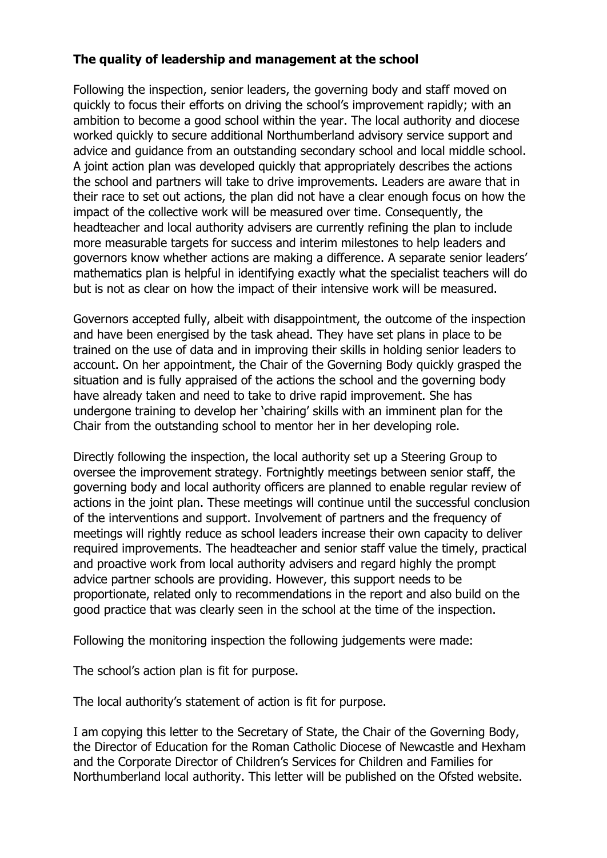## **The quality of leadership and management at the school**

Following the inspection, senior leaders, the governing body and staff moved on quickly to focus their efforts on driving the school's improvement rapidly; with an ambition to become a good school within the year. The local authority and diocese worked quickly to secure additional Northumberland advisory service support and advice and guidance from an outstanding secondary school and local middle school. A joint action plan was developed quickly that appropriately describes the actions the school and partners will take to drive improvements. Leaders are aware that in their race to set out actions, the plan did not have a clear enough focus on how the impact of the collective work will be measured over time. Consequently, the headteacher and local authority advisers are currently refining the plan to include more measurable targets for success and interim milestones to help leaders and governors know whether actions are making a difference. A separate senior leaders' mathematics plan is helpful in identifying exactly what the specialist teachers will do but is not as clear on how the impact of their intensive work will be measured.

Governors accepted fully, albeit with disappointment, the outcome of the inspection and have been energised by the task ahead. They have set plans in place to be trained on the use of data and in improving their skills in holding senior leaders to account. On her appointment, the Chair of the Governing Body quickly grasped the situation and is fully appraised of the actions the school and the governing body have already taken and need to take to drive rapid improvement. She has undergone training to develop her 'chairing' skills with an imminent plan for the Chair from the outstanding school to mentor her in her developing role.

Directly following the inspection, the local authority set up a Steering Group to oversee the improvement strategy. Fortnightly meetings between senior staff, the governing body and local authority officers are planned to enable regular review of actions in the joint plan. These meetings will continue until the successful conclusion of the interventions and support. Involvement of partners and the frequency of meetings will rightly reduce as school leaders increase their own capacity to deliver required improvements. The headteacher and senior staff value the timely, practical and proactive work from local authority advisers and regard highly the prompt advice partner schools are providing. However, this support needs to be proportionate, related only to recommendations in the report and also build on the good practice that was clearly seen in the school at the time of the inspection.

Following the monitoring inspection the following judgements were made:

The school's action plan is fit for purpose.

The local authority's statement of action is fit for purpose.

I am copying this letter to the Secretary of State, the Chair of the Governing Body, the Director of Education for the Roman Catholic Diocese of Newcastle and Hexham and the Corporate Director of Children's Services for Children and Families for Northumberland local authority. This letter will be published on the Ofsted website.